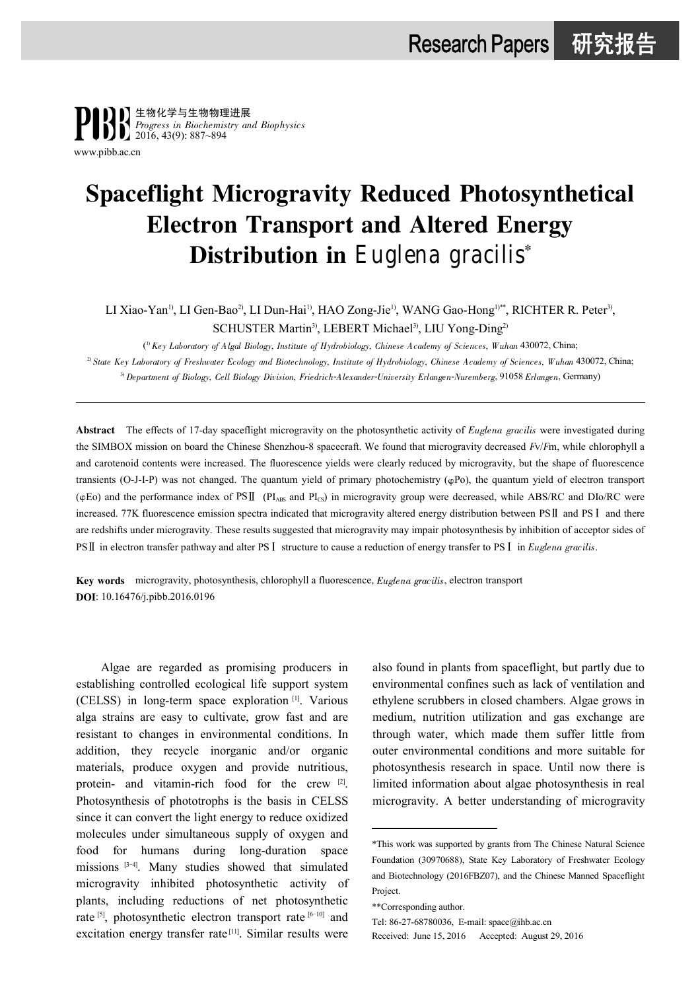

[www.pibb.ac.cn](http://www.pibb.ac.cn)

# Spaceflight Microgravity Reduced Photosynthetical Electron Transport and Altered Energy Distribution in Euglena gracilis\*

LI Xiao-Yan<sup>1)</sup>, LI Gen-Bao<sup>2)</sup>, LI Dun-Hai<sup>1)</sup>, HAO Zong-Jie<sup>1)</sup>, WANG Gao-Hong<sup>1)\*\*</sup>, RICHTER R. Peter<sup>3)</sup>, SCHUSTER Martin<sup>3)</sup>, LEBERT Michael<sup>3)</sup>, LIU Yong-Ding<sup>2)</sup>

( 1) Key Laboratory of Algal Biology, Institute of Hydrobiology, Chinese Academy of Sciences, Wuhan 430072, China; <sup>2)</sup> State Key Laboratory of Freshwater Ecology and Biotechnology, Institute of Hydrobiology, Chinese Academy of Sciences, Wuhan 430072, China; <sup>3)</sup> Department of Biology, Cell Biology Division, Friedrich-Alexander-University Erlangen-Nuremberg, 91058 Erlangen, Germany)

Abstract The effects of 17-day spaceflight microgravity on the photosynthetic activity of Euglena gracilis were investigated during the SIMBOX mission on board the Chinese Shenzhou-8 spacecraft. We found that microgravity decreased Fv/Fm, while chlorophyll a and carotenoid contents were increased. The fluorescence yields were clearly reduced by microgravity, but the shape of fluorescence transients (O-J-I-P) was not changed. The quantum yield of primary photochemistry ( $\varphi$ Po), the quantum yield of electron transport  $(\varphi$ Eo) and the performance index of PS $\rm II$  (PI<sub>ABS</sub> and PI<sub>CS</sub>) in microgravity group were decreased, while ABS/RC and DIo/RC were increased. 77K fluorescence emission spectra indicated that microgravity altered energy distribution between PS $\rm II$  and PS $\rm I$  and there are redshifts under microgravity. These results suggested that microgravity may impair photosynthesis by inhibition of acceptor sides of PS∏ in electron transfer pathway and alter PS I structure to cause a reduction of energy transfer to PS I in Euglena gracilis.

Key words microgravity, photosynthesis, chlorophyll a fluorescence, Euglena gracilis, electron transport DOI: 10.16476/j.pibb.2016.0196

Algae are regarded as promising producers in establishing controlled ecological life support system (CELSS) in long-term space exploration [1] . Various alga strains are easy to cultivate, grow fast and are resistant to changes in environmental conditions. In addition, they recycle inorganic and/or organic materials, produce oxygen and provide nutritious, protein- and vitamin-rich food for the crew [2]. Photosynthesis of phototrophs is the basis in CELSS since it can convert the light energy to reduce oxidized molecules under simultaneous supply of oxygen and food for humans during long-duration space missions [3-4]. Many studies showed that simulated microgravity inhibited photosynthetic activity of plants, including reductions of net photosynthetic rate  $[5]$ , photosynthetic electron transport rate  $[6-10]$  and excitation energy transfer rate<sup>[11]</sup>. Similar results were

also found in plants from spaceflight, but partly due to environmental confines such as lack of ventilation and ethylene scrubbers in closed chambers. Algae grows in medium, nutrition utilization and gas exchange are through water, which made them suffer little from outer environmental conditions and more suitable for photosynthesis research in space. Until now there is limited information about algae photosynthesis in real microgravity. A better understanding of microgravity

Received: June 15, 2016 Accepted: August 29, 2016

<sup>\*</sup>This work was supported by grants from The Chinese Natural Science Foundation (30970688), State Key Laboratory of Freshwater Ecology and Biotechnology (2016FBZ07), and the Chinese Manned Spaceflight Project.

<sup>\*\*</sup>Corresponding author.

Tel: 86-27-68780036, E-mail: [space@ihb.ac.cn](mailto:E-mail:space@ihb.ac.cn)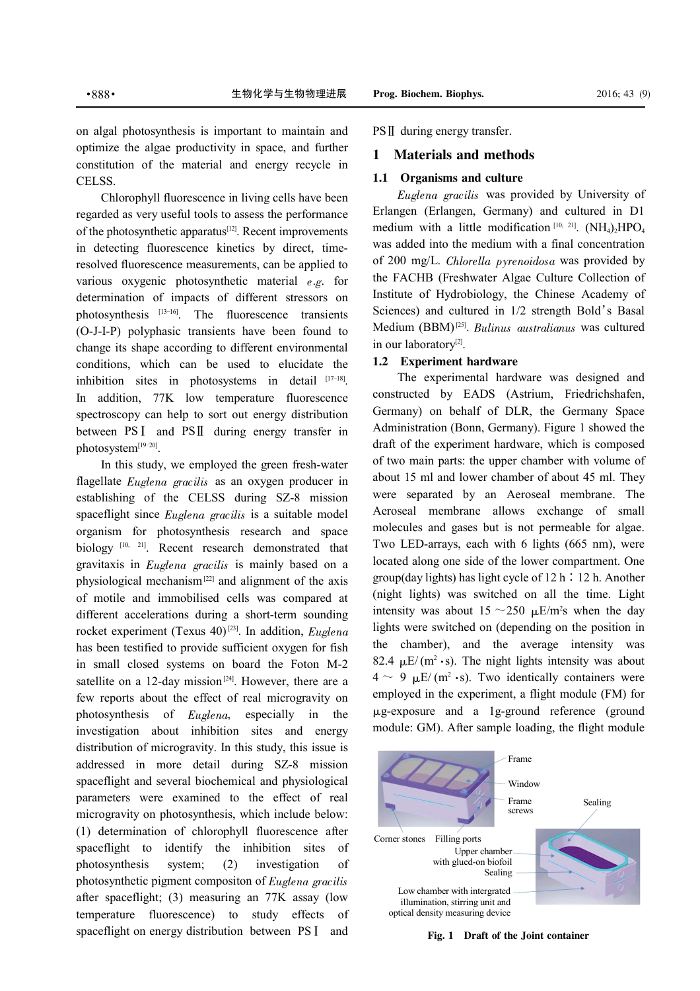on algal photosynthesis is important to maintain and optimize the algae productivity in space, and further constitution of the material and energy recycle in CELSS.

Chlorophyll fluorescence in living cells have been regarded as very useful tools to assess the performance of the photosynthetic apparatus<sup>[12]</sup>. Recent improvements in detecting fluorescence kinetics by direct, timeresolved fluorescence measurements, can be applied to various oxygenic photosynthetic material  $e.g.$  for determination of impacts of different stressors on photosynthesis [13-16] . The fluorescence transients (O-J-I-P) polyphasic transients have been found to change its shape according to different environmental conditions, which can be used to elucidate the inhibition sites in photosystems in detail  $[17-18]$ . In addition, 77K low temperature fluorescence spectroscopy can help to sort out energy distribution between  $PSI$  and  $PSII$  during energy transfer in photosystem<sup>[19-20]</sup>.

In this study, we employed the green fresh-water flagellate *Euglena gracilis* as an oxygen producer in establishing of the CELSS during SZ-8 mission spaceflight since *Euglena gracilis* is a suitable model organism for photosynthesis research and space biology<sup>[10, 21]</sup>. Recent research demonstrated that gravitaxis in Euglena gracilis is mainly based on a physiological mechanism[22] and alignment of the axis of motile and immobilised cells was compared at different accelerations during a short-term sounding rocket experiment (Texus  $40$ )<sup>[23]</sup>. In addition, *Euglena* has been testified to provide sufficient oxygen for fish in small closed systems on board the Foton M-2 satellite on a 12-day mission<sup>[24]</sup>. However, there are a few reports about the effect of real microgravity on photosynthesis of Euglena, especially in the investigation about inhibition sites and energy distribution of microgravity. In this study, this issue is addressed in more detail during SZ-8 mission spaceflight and several biochemical and physiological parameters were examined to the effect of real microgravity on photosynthesis, which include below: (1) determination of chlorophyll fluorescence after spaceflight to identify the inhibition sites of photosynthesis system; (2) investigation of photosynthetic pigment compositon of Euglena gracilis after spaceflight; (3) measuring an 77K assay (low temperature fluorescence) to study effects of spaceflight on energy distribution between PSI and

 $PSII$  during energy transfer.

#### 1 Materials and methods

### 1.1 Organisms and culture

Euglena gracilis was provided by University of Erlangen (Erlangen, Germany) and cultured in D1 medium with a little modification  $[10, 21]$ .  $(NH_4)_2HPO_4$ was added into the medium with a final concentration of 200 mg/L. Chlorella pyrenoidosa was provided by the FACHB (Freshwater Algae Culture Collection of Institute of Hydrobiology, the Chinese Academy of Sciences) and cultured in 1/2 strength Bold's Basal Medium (BBM)<sup>[25]</sup>. Bulinus australianus was cultured in our laboratory<sup>[2]</sup>.

#### 1.2 Experiment hardware

The experimental hardware was designed and constructed by EADS (Astrium, Friedrichshafen, Germany) on behalf of DLR, the Germany Space Administration (Bonn, Germany). Figure 1 showed the draft of the experiment hardware, which is composed of two main parts: the upper chamber with volume of about 15 ml and lower chamber of about 45 ml. They were separated by an Aeroseal membrane. The Aeroseal membrane allows exchange of small molecules and gases but is not permeable for algae. Two LED-arrays, each with 6 lights (665 nm), were located along one side of the lower compartment. One group(day lights) has light cycle of 12 h∶12 h. Another (night lights) was switched on all the time. Light intensity was about  $15 \sim 250 \mu E/m^2$ s when the day lights were switched on (depending on the position in the chamber), and the average intensity was 82.4  $\mu$ E/ (m<sup>2</sup> · s). The night lights intensity was about  $4 \sim 9$   $\mu$ E/(m<sup>2</sup>·s). Two identically containers were employed in the experiment, a flight module (FM) for 滋g-exposure and a 1g-ground reference (ground module: GM). After sample loading, the flight module



Fig. 1 Draft of the Joint container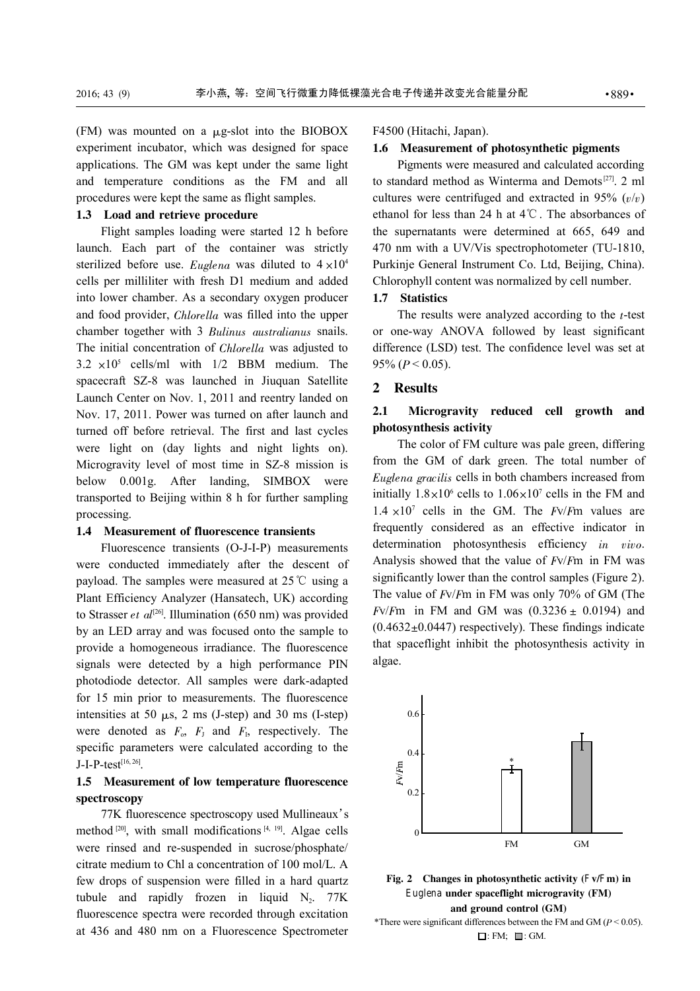(FM) was mounted on a  $\mu$ g-slot into the BIOBOX experiment incubator, which was designed for space applications. The GM was kept under the same light and temperature conditions as the FM and all procedures were kept the same as flight samples.

#### 1.3 Load and retrieve procedure

Flight samples loading were started 12 h before launch. Each part of the container was strictly sterilized before use. Euglena was diluted to  $4 \times 10^4$ cells per milliliter with fresh D1 medium and added into lower chamber. As a secondary oxygen producer and food provider, Chlorella was filled into the upper chamber together with 3 Bulinus australianus snails. The initial concentration of Chlorella was adjusted to  $3.2 \times 10^5$  cells/ml with  $1/2$  BBM medium. The spacecraft SZ-8 was launched in Jiuquan Satellite Launch Center on Nov. 1, 2011 and reentry landed on Nov. 17, 2011. Power was turned on after launch and turned off before retrieval. The first and last cycles were light on (day lights and night lights on). Microgravity level of most time in SZ-8 mission is below 0.001g. After landing, SIMBOX were transported to Beijing within 8 h for further sampling processing.

#### 1.4 Measurement of fluorescence transients

Fluorescence transients (O-J-I-P) measurements were conducted immediately after the descent of payload. The samples were measured at 25℃ using a Plant Efficiency Analyzer (Hansatech, UK) according to Strasser et  $al^{[26]}$ . Illumination (650 nm) was provided by an LED array and was focused onto the sample to provide a homogeneous irradiance. The fluorescence signals were detected by a high performance PIN photodiode detector. All samples were dark-adapted for 15 min prior to measurements. The fluorescence intensities at 50  $\mu$ s, 2 ms (J-step) and 30 ms (I-step) were denoted as  $F_0$ ,  $F_J$  and  $F_I$ , respectively. The specific parameters were calculated according to the J-I-P-test<sup>[16, 26]</sup>.

### 1.5 Measurement of low temperature fluorescence spectroscopy

77K fluorescence spectroscopy used Mullineaux's method  $[20]$ , with small modifications  $[4, 19]$ . Algae cells were rinsed and re-suspended in sucrose/phosphate/ citrate medium to Chl a concentration of 100 mol/L. A few drops of suspension were filled in a hard quartz tubule and rapidly frozen in liquid  $N_2$ . 77K fluorescence spectra were recorded through excitation at 436 and 480 nm on a Fluorescence Spectrometer F4500 (Hitachi, Japan).

#### 1.6 Measurement of photosynthetic pigments

Pigments were measured and calculated according to standard method as Winterma and Demots<sup>[27]</sup>. 2 ml cultures were centrifuged and extracted in 95%  $(v/v)$ ethanol for less than 24 h at 4℃. The absorbances of the supernatants were determined at 665, 649 and 470 nm with a UV/Vis spectrophotometer (TU-1810, Purkinje General Instrument Co. Ltd, Beijing, China). Chlorophyll content was normalized by cell number.

#### 1.7 Statistics

The results were analyzed according to the  $t$ -test or one-way ANOVA followed by least significant difference (LSD) test. The confidence level was set at 95% ( $P < 0.05$ ).

#### 2 Results

## 2.1 Microgravity reduced cell growth and photosynthesis activity

The color of FM culture was pale green, differing from the GM of dark green. The total number of Euglena gracilis cells in both chambers increased from initially  $1.8 \times 10^6$  cells to  $1.06 \times 10^7$  cells in the FM and  $1.4 \times 10^7$  cells in the GM. The *Fv/Fm values are* frequently considered as an effective indicator in determination photosynthesis efficiency in vivo. Analysis showed that the value of  $Fv/Fm$  in FM was significantly lower than the control samples (Figure 2). The value of Fv/Fm in FM was only 70% of GM (The  $Fv/Fm$  in FM and GM was  $(0.3236 \pm 0.0194)$  and  $(0.4632 \pm 0.0447)$  respectively). These findings indicate that spaceflight inhibit the photosynthesis activity in algae.



Fig. 2 Changes in photosynthetic activity (Fv/Fm) in Euglena under spaceflight microgravity (FM) and ground control (GM) \*There were significant differences between the FM and GM ( $P < 0.05$ ).

 $\Box$ : FM;  $\Box$ : GM.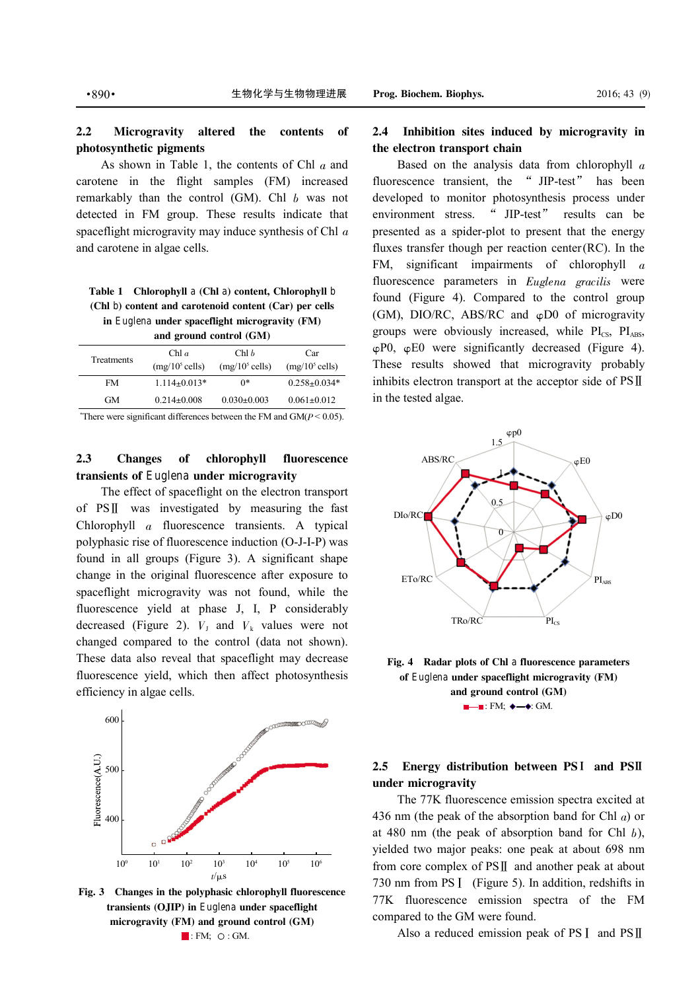As shown in Table 1, the contents of Chl  $\alpha$  and carotene in the flight samples (FM) increased remarkably than the control  $(GM)$ . Chl  $b$  was not detected in FM group. These results indicate that spaceflight microgravity may induce synthesis of Chl  $\alpha$ and carotene in algae cells.

Table 1 Chlorophyll a (Chl a) content, Chlorophyll b (Chl b) content and carotenoid content (Car) per cells in Euglena under spaceflight microgravity (FM) and ground control (GM)

| Treatments | Chl $a$                   | Chl <sub>b</sub>  | Car                |
|------------|---------------------------|-------------------|--------------------|
|            | $(mg/10^5 \text{ cells})$ | $(mg/10^5$ cells) | $(mg/10^5$ cells)  |
| FM         | $1.114 \pm 0.013*$        | ∩*                | $0.258 + 0.034*$   |
| GM         | $0.214 + 0.008$           | $0.030 + 0.003$   | $0.061_{\pm}0.012$ |
|            |                           |                   |                    |

\*There were significant differences between the FM and  $GM(P < 0.05)$ .

## 2.3 Changes of chlorophyll fluorescence transients of Euglena under microgravity

The effect of spaceflight on the electron transport of  $PSII$  was investigated by measuring the fast Chlorophyll a fluorescence transients. A typical polyphasic rise of fluorescence induction (O-J-I-P) was found in all groups (Figure 3). A significant shape change in the original fluorescence after exposure to spaceflight microgravity was not found, while the fluorescence yield at phase J, I, P considerably decreased (Figure 2).  $V_1$  and  $V_k$  values were not changed compared to the control (data not shown). These data also reveal that spaceflight may decrease fluorescence yield, which then affect photosynthesis efficiency in algae cells.



Fig. 3 Changes in the polyphasic chlorophyll fluorescence transients (OJIP) in Euglena under spaceflight microgravity (FM) and ground control (GM)  $\blacksquare$ : FM;  $\bigcirc$ : GM.

### 2.4 Inhibition sites induced by microgravity in the electron transport chain

Based on the analysis data from chlorophyll  $\alpha$ fluorescence transient, the " JIP-test" has been developed to monitor photosynthesis process under environment stress. " JIP-test" results can be presented as a spider-plot to present that the energy fluxes transfer though per reaction center(RC). In the FM, significant impairments of chlorophyll  $\alpha$ fluorescence parameters in Euglena gracilis were found (Figure 4). Compared to the control group (GM), DIO/RC, ABS/RC and  $\varphi$ D0 of microgravity groups were obviously increased, while  $PI_{CS}$ ,  $PI_{ABS}$ ,  $\varphi$ P0,  $\varphi$ E0 were significantly decreased (Figure 4). These results showed that microgravity probably inhibits electron transport at the acceptor side of  $PSII$ in the tested algae.





## 2.5 Energy distribution between PSI and PSI under microgravity

The 77K fluorescence emission spectra excited at 436 nm (the peak of the absorption band for Chl  $a$ ) or at 480 nm (the peak of absorption band for Chl  $b$ ), yielded two major peaks: one peak at about 698 nm from core complex of  $PSII$  and another peak at about 730 nm from PS I (Figure 5). In addition, redshifts in 77K fluorescence emission spectra of the FM compared to the GM were found.

Also a reduced emission peak of PS  $I$  and PS $II$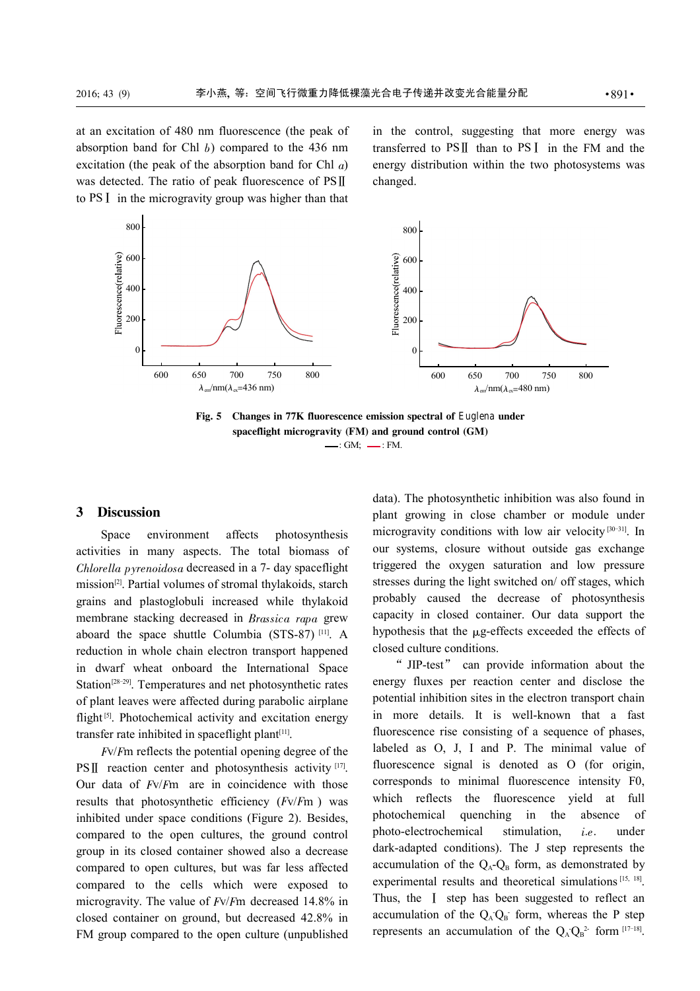at an excitation of 480 nm fluorescence (the peak of absorption band for Chl  $b$ ) compared to the 436 nm excitation (the peak of the absorption band for Chl  $a$ ) was detected. The ratio of peak fluorescence of  $PSII$ to PS I in the microgravity group was higher than that in the control, suggesting that more energy was transferred to  $PSII$  than to  $PSI$  in the FM and the energy distribution within the two photosystems was changed.



Fig. 5 Changes in 77K fluorescence emission spectral of Euglena under spaceflight microgravity (FM) and ground control (GM)  $\longrightarrow$ : GM;  $\longrightarrow$ : FM.

### 3 Discussion

Space environment affects photosynthesis activities in many aspects. The total biomass of Chlorella pyrenoidosa decreased in a 7- day spaceflight mission<sup>[2]</sup>. Partial volumes of stromal thylakoids, starch grains and plastoglobuli increased while thylakoid membrane stacking decreased in Brassica rapa grew aboard the space shuttle Columbia (STS-87) [11]. A reduction in whole chain electron transport happened in dwarf wheat onboard the International Space Station<sup>[28-29]</sup>. Temperatures and net photosynthetic rates of plant leaves were affected during parabolic airplane flight<sup>[5]</sup>. Photochemical activity and excitation energy transfer rate inhibited in spaceflight plant $[11]$ .

Fv/Fm reflects the potential opening degree of the  $PSII$  reaction center and photosynthesis activity [17]. Our data of  $Fv/Fm$  are in coincidence with those results that photosynthetic efficiency  $(Fv/Fm)$  was inhibited under space conditions (Figure 2). Besides, compared to the open cultures, the ground control group in its closed container showed also a decrease compared to open cultures, but was far less affected compared to the cells which were exposed to microgravity. The value of Fv/Fm decreased 14.8% in closed container on ground, but decreased 42.8% in FM group compared to the open culture (unpublished

data). The photosynthetic inhibition was also found in plant growing in close chamber or module under microgravity conditions with low air velocity<sup>[30-31]</sup>. In our systems, closure without outside gas exchange triggered the oxygen saturation and low pressure stresses during the light switched on/ off stages, which probably caused the decrease of photosynthesis capacity in closed container. Our data support the hypothesis that the  $\mu$ g-effects exceeded the effects of closed culture conditions.

" JIP-test" can provide information about the energy fluxes per reaction center and disclose the potential inhibition sites in the electron transport chain in more details. It is well-known that a fast fluorescence rise consisting of a sequence of phases, labeled as O, J, I and P. The minimal value of fluorescence signal is denoted as O (for origin, corresponds to minimal fluorescence intensity F0, which reflects the fluorescence yield at full photochemical quenching in the absence of photo-electrochemical stimulation, i.e. under dark-adapted conditions). The J step represents the accumulation of the  $Q_A$ - $Q_B$  form, as demonstrated by experimental results and theoretical simulations<sup>[15, 18]</sup>. Thus, the I step has been suggested to reflect an accumulation of the  $Q_A Q_B$  form, whereas the P step represents an accumulation of the  $Q_A Q_B^2$  form  $[17-18]$ .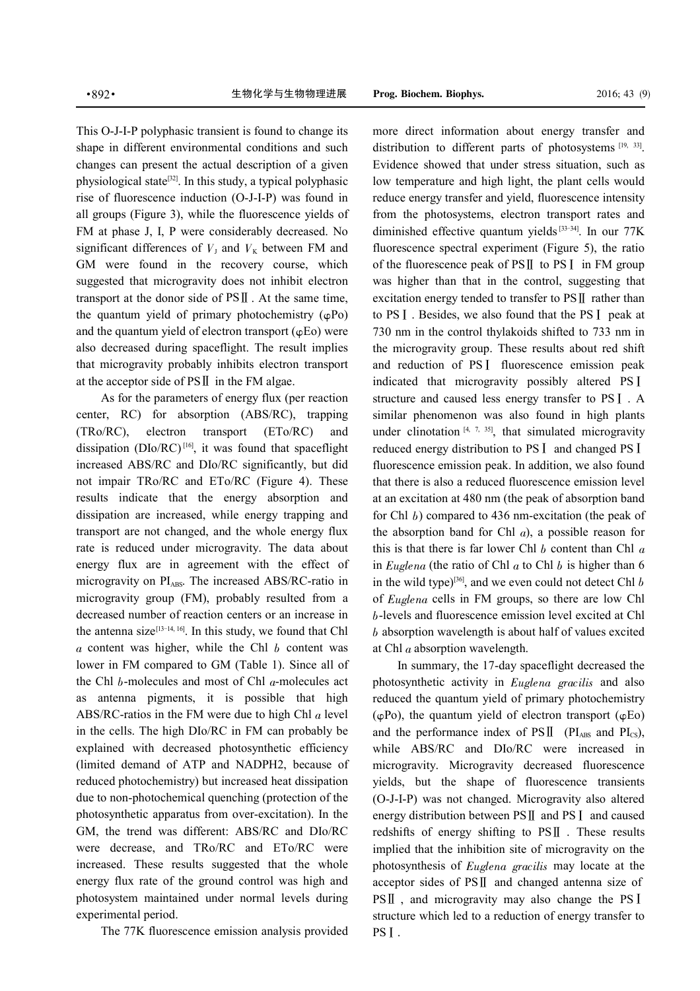This O-J-I-P polyphasic transient is found to change its shape in different environmental conditions and such changes can present the actual description of a given physiological state<sup>[32]</sup>. In this study, a typical polyphasic rise of fluorescence induction (O-J-I-P) was found in all groups (Figure 3), while the fluorescence yields of FM at phase J, I, P were considerably decreased. No significant differences of  $V<sub>J</sub>$  and  $V<sub>K</sub>$  between FM and GM were found in the recovery course, which suggested that microgravity does not inhibit electron transport at the donor side of  $PSII$ . At the same time, the quantum yield of primary photochemistry  $(\varphi Po)$ and the quantum yield of electron transport  $(\varphi E_0)$  were also decreased during spaceflight. The result implies that microgravity probably inhibits electron transport at the acceptor side of  $PSII$  in the FM algae.

As for the parameters of energy flux (per reaction center, RC) for absorption (ABS/RC), trapping (TRo/RC), electron transport (ETo/RC) and dissipation ( $D$ Io/RC)<sup>[16]</sup>, it was found that spaceflight increased ABS/RC and DIo/RC significantly, but did not impair TRo/RC and ETo/RC (Figure 4). These results indicate that the energy absorption and dissipation are increased, while energy trapping and transport are not changed, and the whole energy flux rate is reduced under microgravity. The data about energy flux are in agreement with the effect of microgravity on  $PI<sub>ABS</sub>$ . The increased ABS/RC-ratio in microgravity group (FM), probably resulted from a decreased number of reaction centers or an increase in the antenna size<sup>[13-14, 16]</sup>. In this study, we found that Chl  $a$  content was higher, while the Chl  $b$  content was lower in FM compared to GM (Table 1). Since all of the Chl  $b$ -molecules and most of Chl  $a$ -molecules act as antenna pigments, it is possible that high ABS/RC-ratios in the FM were due to high Chl  $a$  level in the cells. The high DIo/RC in FM can probably be explained with decreased photosynthetic efficiency (limited demand of ATP and NADPH2, because of reduced photochemistry) but increased heat dissipation due to non-photochemical quenching (protection of the photosynthetic apparatus from over-excitation). In the GM, the trend was different: ABS/RC and DIo/RC were decrease, and TRo/RC and ETo/RC were increased. These results suggested that the whole energy flux rate of the ground control was high and photosystem maintained under normal levels during experimental period.

The 77K fluorescence emission analysis provided

more direct information about energy transfer and distribution to different parts of photosystems [19, 33]. Evidence showed that under stress situation, such as low temperature and high light, the plant cells would reduce energy transfer and yield, fluorescence intensity from the photosystems, electron transport rates and diminished effective quantum yields<sup>[33-34]</sup>. In our  $77K$ fluorescence spectral experiment (Figure 5), the ratio of the fluorescence peak of  $PSII$  to  $PSI$  in FM group was higher than that in the control, suggesting that excitation energy tended to transfer to  $PSII$  rather than to PS<sup>I</sup>. Besides, we also found that the PS<sup>I</sup> peak at 730 nm in the control thylakoids shifted to 733 nm in the microgravity group. These results about red shift and reduction of PSI fluorescence emission peak indicated that microgravity possibly altered PST structure and caused less energy transfer to PST. A similar phenomenon was also found in high plants under clinotation  $[4, 7, 35]$ , that simulated microgravity reduced energy distribution to PS I and changed PS I fluorescence emission peak. In addition, we also found that there is also a reduced fluorescence emission level at an excitation at 480 nm (the peak of absorption band for Chl b) compared to 436 nm-excitation (the peak of the absorption band for Chl  $a$ ), a possible reason for this is that there is far lower Chl  $b$  content than Chl  $a$ in Euglena (the ratio of Chl  $a$  to Chl  $b$  is higher than 6 in the wild type)<sup>[36]</sup>, and we even could not detect Chl  $b$ of Euglena cells in FM groups, so there are low Chl b-levels and fluorescence emission level excited at Chl b absorption wavelength is about half of values excited at Chl  $a$  absorption wavelength.

In summary, the 17-day spaceflight decreased the photosynthetic activity in Euglena gracilis and also reduced the quantum yield of primary photochemistry  $(\varphi Po)$ , the quantum yield of electron transport  $(\varphi Eo)$ and the performance index of  $PSII$  (PI<sub>ABS</sub> and PI<sub>CS</sub>), while ABS/RC and DIo/RC were increased in microgravity. Microgravity decreased fluorescence yields, but the shape of fluorescence transients (O-J-I-P) was not changed. Microgravity also altered energy distribution between  $PSII$  and  $PSI$  and caused redshifts of energy shifting to  $PSII$ . These results implied that the inhibition site of microgravity on the photosynthesis of Euglena gracilis may locate at the acceptor sides of  $PSII$  and changed antenna size of  $PSII$ , and microgravity may also change the PSI structure which led to a reduction of energy transfer to PSI.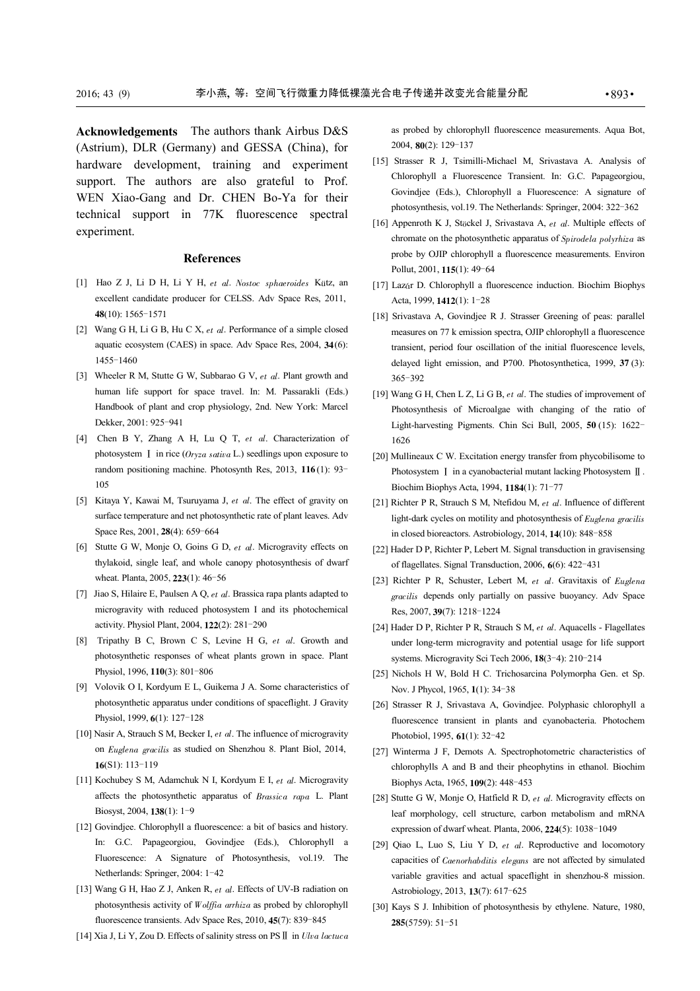Acknowledgements The authors thank Airbus D&S (Astrium), DLR (Germany) and GESSA (China), for hardware development, training and experiment support. The authors are also grateful to Prof. WEN Xiao-Gang and Dr. CHEN Bo-Ya for their technical support in 77K fluorescence spectral experiment.

#### References

- [1] Hao Z J, Li D H, Li Y H, et al. Nostoc sphaeroides Kütz, an excellent candidate producer for CELSS. Adv Space Res, 2011, 48(10): 1565-1571
- [2] Wang G H, Li G B, Hu C X,  $et \ al$ . Performance of a simple closed aquatic ecosystem (CAES) in space. Adv Space Res, 2004, 34(6): 1455-1460
- [3] Wheeler R M, Stutte G W, Subbarao G V, et al. Plant growth and human life support for space travel. In: M. Passarakli (Eds.) Handbook of plant and crop physiology, 2nd. New York: Marcel Dekker, 2001: 925-941
- [4] Chen B Y, Zhang A H, Lu Q T, et al. Characterization of photosystem  $I$  in rice ( $Oryza sativa L$ .) seedlings upon exposure to random positioning machine. Photosynth Res, 2013, 116 (1): 93- 105
- [5] Kitaya Y, Kawai M, Tsuruyama J, et al. The effect of gravity on surface temperature and net photosynthetic rate of plant leaves. Adv Space Res, 2001, 28(4): 659-664
- [6] Stutte G W, Monje O, Goins G D, et al. Microgravity effects on thylakoid, single leaf, and whole canopy photosynthesis of dwarf wheat. Planta, 2005, 223(1): 46-56
- [7] Jiao S, Hilaire E, Paulsen A Q,  $et$  al. Brassica rapa plants adapted to microgravity with reduced photosystem I and its photochemical activity. Physiol Plant, 2004, 122(2): 281-290
- [8] Tripathy B C, Brown C S, Levine H G, et al. Growth and photosynthetic responses of wheat plants grown in space. Plant Physiol, 1996, 110(3): 801-806
- [9] Volovik O I, Kordyum E L, Guikema J A. Some characteristics of photosynthetic apparatus under conditions of spaceflight. J Gravity Physiol, 1999, 6(1): 127-128
- [10] Nasir A, Strauch S M, Becker I,  $et$  al. The influence of microgravity on Euglena gracilis as studied on Shenzhou 8. Plant Biol, 2014, 16(S1): 113-119
- [11] Kochubey S M, Adamchuk N I, Kordyum E I, et al. Microgravity affects the photosynthetic apparatus of Brassica rapa L. Plant Biosyst, 2004, 138(1): 1-9
- [12] Govindjee. Chlorophyll a fluorescence: a bit of basics and history. In: G.C. Papageorgiou, Govindjee (Eds.), Chlorophyll a Fluorescence: A Signature of Photosynthesis, vol.19. The Netherlands: Springer, 2004: 1-42
- [13] Wang G H, Hao Z J, Anken R, et al. Effects of UV-B radiation on photosynthesis activity of Wolffia arrhiza as probed by chlorophyll fluorescence transients. Adv Space Res, 2010, 45(7): 839-845
- [14] Xia J, Li Y, Zou D. Effects of salinity stress on PS  $\mathbb{I}$  in Ulva lactuca

as probed by chlorophyll fluorescence measurements. Aqua Bot, 2004, 80(2): 129-137

- [15] Strasser R J, Tsimilli-Michael M, Srivastava A. Analysis of Chlorophyll a Fluorescence Transient. In: G.C. Papageorgiou, Govindjee (Eds.), Chlorophyll a Fluorescence: A signature of photosynthesis, vol.19. The Netherlands: Springer, 2004: 322-362
- [16] Appenroth K J, Stöckel J, Srivastava A, et al. Multiple effects of chromate on the photosynthetic apparatus of Spirodela polyrhiza as probe by OJIP chlorophyll a fluorescence measurements. Environ Pollut, 2001, 115(1): 49-64
- [17] Lazár D. Chlorophyll a fluorescence induction. Biochim Biophys Acta, 1999, 1412(1): 1-28
- [18] Srivastava A, Govindjee R J. Strasser Greening of peas: parallel measures on 77 k emission spectra, OJIP chlorophyll a fluorescence transient, period four oscillation of the initial fluorescence levels, delayed light emission, and P700. Photosynthetica, 1999, 37 (3): 365-392
- [19] Wang G H, Chen L Z, Li G B, et al. The studies of improvement of Photosynthesis of Microalgae with changing of the ratio of Light-harvesting Pigments. Chin Sci Bull, 2005, 50 (15): 1622- 1626
- [20] Mullineaux C W. Excitation energy transfer from phycobilisome to Photosystem  $\overline{I}$  in a cyanobacterial mutant lacking Photosystem  $\overline{I}$ . Biochim Biophys Acta, 1994, 1184(1): 71-77
- [21] Richter P R, Strauch S M, Ntefidou M, et al. Influence of different light-dark cycles on motility and photosynthesis of Euglena gracilis in closed bioreactors. Astrobiology, 2014, 14(10): 848-858
- [22] Hader D P, Richter P, Lebert M. Signal transduction in gravisensing of flagellates. Signal Transduction, 2006, 6(6): 422-431
- [23] Richter P R, Schuster, Lebert M, et al. Gravitaxis of Euglena gracilis depends only partially on passive buoyancy. Adv Space Res, 2007, 39(7): 1218-1224
- [24] Hader D P, Richter P R, Strauch S M, et al. Aquacells Flagellates under long-term microgravity and potential usage for life support systems. Microgravity Sci Tech 2006, 18(3-4): 210-214
- [25] Nichols H W, Bold H C. Trichosarcina Polymorpha Gen. et Sp. Nov. J Phycol, 1965, 1(1): 34-38
- [26] Strasser R J, Srivastava A, Govindjee. Polyphasic chlorophyll a fluorescence transient in plants and cyanobacteria. Photochem Photobiol, 1995, 61(1): 32-42
- [27] Winterma J F, Demots A. Spectrophotometric characteristics of chlorophylls A and B and their pheophytins in ethanol. Biochim Biophys Acta, 1965, 109(2): 448-453
- [28] Stutte G W, Monje O, Hatfield R D, et al. Microgravity effects on leaf morphology, cell structure, carbon metabolism and mRNA expression of dwarf wheat. Planta, 2006, 224(5): 1038-1049
- [29] Qiao L, Luo S, Liu Y D,  $et$  al. Reproductive and locomotory capacities of Caenorhabditis elegans are not affected by simulated variable gravities and actual spaceflight in shenzhou-8 mission. Astrobiology, 2013, 13(7): 617-625
- [30] Kays S J. Inhibition of photosynthesis by ethylene. Nature, 1980, 285(5759): 51-51